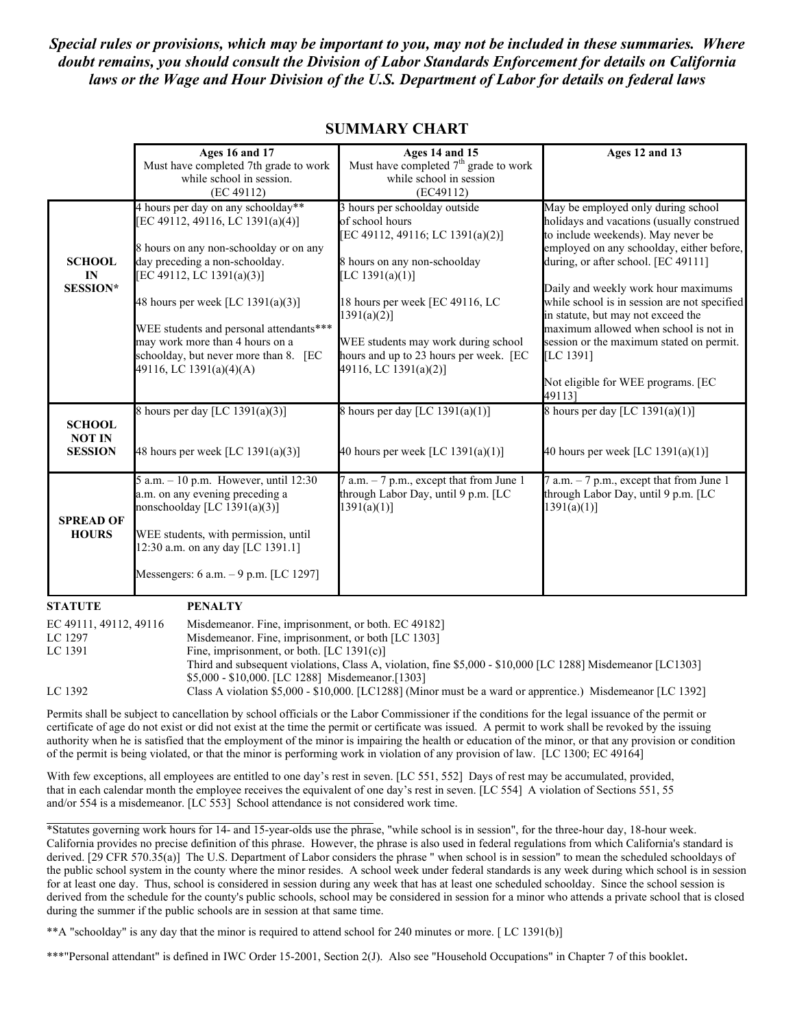*Special rules or provisions, which may be important to you, may not be included in these summaries. Where doubt remains, you should consult the Division of Labor Standards Enforcement for details on California laws or the Wage and Hour Division of the U.S. Department of Labor for details on federal laws* 

|                                                                                         | Ages 16 and 17                                                                                                                                                 | Ages 14 and 15                                                                                                                                           | Ages 12 and 13                               |  |  |
|-----------------------------------------------------------------------------------------|----------------------------------------------------------------------------------------------------------------------------------------------------------------|----------------------------------------------------------------------------------------------------------------------------------------------------------|----------------------------------------------|--|--|
|                                                                                         | Must have completed 7th grade to work                                                                                                                          | Must have completed $7th$ grade to work                                                                                                                  |                                              |  |  |
|                                                                                         | while school in session.                                                                                                                                       | while school in session                                                                                                                                  |                                              |  |  |
|                                                                                         | (EC 49112)                                                                                                                                                     | (EC49112)                                                                                                                                                |                                              |  |  |
|                                                                                         | 4 hours per day on any schoolday**                                                                                                                             | 3 hours per schoolday outside                                                                                                                            | May be employed only during school           |  |  |
|                                                                                         | [EC 49112, 49116, LC 1391(a)(4)]                                                                                                                               | of school hours                                                                                                                                          | holidays and vacations (usually construed    |  |  |
|                                                                                         |                                                                                                                                                                | [EC 49112, 49116; LC 1391(a)(2)]                                                                                                                         | to include weekends). May never be           |  |  |
|                                                                                         | 8 hours on any non-schoolday or on any                                                                                                                         |                                                                                                                                                          | employed on any schoolday, either before,    |  |  |
| <b>SCHOOL</b>                                                                           | day preceding a non-schoolday.                                                                                                                                 | 8 hours on any non-schoolday                                                                                                                             | during, or after school. [EC 49111]          |  |  |
| IN                                                                                      | [EC 49112, LC 1391(a)(3)]                                                                                                                                      | [LC 1391(a)(1)]                                                                                                                                          |                                              |  |  |
| <b>SESSION*</b>                                                                         |                                                                                                                                                                |                                                                                                                                                          | Daily and weekly work hour maximums          |  |  |
|                                                                                         | 48 hours per week [LC $1391(a)(3)$ ]                                                                                                                           | 18 hours per week [EC 49116, LC                                                                                                                          | while school is in session are not specified |  |  |
|                                                                                         |                                                                                                                                                                | $1391(a)(2)$ ]                                                                                                                                           | in statute, but may not exceed the           |  |  |
|                                                                                         | WEE students and personal attendants***                                                                                                                        |                                                                                                                                                          | maximum allowed when school is not in        |  |  |
|                                                                                         | may work more than 4 hours on a                                                                                                                                | WEE students may work during school                                                                                                                      | session or the maximum stated on permit.     |  |  |
|                                                                                         | schoolday, but never more than 8. [EC                                                                                                                          | hours and up to 23 hours per week. [EC                                                                                                                   | [LC 1391]                                    |  |  |
|                                                                                         | 49116, LC 1391(a)(4)(A)                                                                                                                                        | 49116, LC 1391(a)(2)]                                                                                                                                    |                                              |  |  |
|                                                                                         |                                                                                                                                                                |                                                                                                                                                          | Not eligible for WEE programs. [EC           |  |  |
|                                                                                         |                                                                                                                                                                |                                                                                                                                                          | 49113]                                       |  |  |
|                                                                                         | 8 hours per day [LC 1391(a)(3)]                                                                                                                                | 8 hours per day [LC 1391(a)(1)]                                                                                                                          | 8 hours per day [LC $1391(a)(1)$ ]           |  |  |
| <b>SCHOOL</b>                                                                           |                                                                                                                                                                |                                                                                                                                                          |                                              |  |  |
| <b>NOT IN</b>                                                                           |                                                                                                                                                                |                                                                                                                                                          |                                              |  |  |
| <b>SESSION</b>                                                                          | 48 hours per week [LC 1391(a)(3)]                                                                                                                              | 40 hours per week [LC $1391(a)(1)$ ]                                                                                                                     | 40 hours per week [LC $1391(a)(1)$ ]         |  |  |
|                                                                                         | 5 a.m. - 10 p.m. However, until 12:30                                                                                                                          | $7$ a.m. $-7$ p.m., except that from June 1                                                                                                              | 7 a.m. - 7 p.m., except that from June 1     |  |  |
|                                                                                         | a.m. on any evening preceding a                                                                                                                                | through Labor Day, until 9 p.m. [LC                                                                                                                      | through Labor Day, until 9 p.m. [LC          |  |  |
|                                                                                         | nonschoolday [LC 1391(a)(3)]                                                                                                                                   | $1391(a)(1)$ ]                                                                                                                                           | $1391(a)(1)$ ]                               |  |  |
| <b>SPREAD OF</b>                                                                        |                                                                                                                                                                |                                                                                                                                                          |                                              |  |  |
| <b>HOURS</b>                                                                            | WEE students, with permission, until                                                                                                                           |                                                                                                                                                          |                                              |  |  |
|                                                                                         | 12:30 a.m. on any day [LC 1391.1]                                                                                                                              |                                                                                                                                                          |                                              |  |  |
|                                                                                         |                                                                                                                                                                |                                                                                                                                                          |                                              |  |  |
|                                                                                         | Messengers: 6 a.m. - 9 p.m. [LC 1297]                                                                                                                          |                                                                                                                                                          |                                              |  |  |
|                                                                                         |                                                                                                                                                                |                                                                                                                                                          |                                              |  |  |
| <b>STATUTE</b>                                                                          | <b>PENALTY</b>                                                                                                                                                 |                                                                                                                                                          |                                              |  |  |
|                                                                                         | Misdemeanor. Fine, imprisonment, or both. EC 49182]                                                                                                            |                                                                                                                                                          |                                              |  |  |
| EC 49111, 49112, 49116<br>LC 1297<br>Misdemeanor. Fine, imprisonment, or both [LC 1303] |                                                                                                                                                                |                                                                                                                                                          |                                              |  |  |
| LC 1391                                                                                 |                                                                                                                                                                |                                                                                                                                                          |                                              |  |  |
|                                                                                         |                                                                                                                                                                | Fine, imprisonment, or both. [LC 1391(c)]<br>Third and subsequent violations, Class A, violation, fine \$5,000 - \$10,000 [LC 1288] Misdemeanor [LC1303] |                                              |  |  |
|                                                                                         |                                                                                                                                                                |                                                                                                                                                          |                                              |  |  |
| LC 1392                                                                                 | \$5,000 - \$10,000. [LC 1288] Misdemeanor.[1303]<br>Class A violation \$5,000 - \$10,000. [LC1288] (Minor must be a ward or apprentice.) Misdemeanor [LC 1392] |                                                                                                                                                          |                                              |  |  |

### **SUMMARY CHART**

Permits shall be subject to cancellation by school officials or the Labor Commissioner if the conditions for the legal issuance of the permit or certificate of age do not exist or did not exist at the time the permit or certificate was issued. A permit to work shall be revoked by the issuing authority when he is satisfied that the employment of the minor is impairing the health or education of the minor, or that any provision or condition of the permit is being violated, or that the minor is performing work in violation of any provision of law. [LC 1300; EC 49164]

 With few exceptions, all employees are entitled to one day's rest in seven. [LC 551, 552] Days of rest may be accumulated, provided, that in each calendar month the employee receives the equivalent of one day's rest in seven. [LC 554] A violation of Sections 551, 55 and/or 554 is a misdemeanor. [LC 553] School attendance is not considered work time.

\*\*A "schoolday" is any day that the minor is required to attend school for 240 minutes or more. [ LC 1391(b)]

 $\overline{a}$ 

\*\*\*"Personal attendant" is defined in IWC Order 15-2001, Section 2(J). Also see "Household Occupations" in Chapter 7 of this booklet.

<sup>\*</sup>Statutes governing work hours for 14- and 15-year-olds use the phrase, "while school is in session", for the three-hour day, 18-hour week. California provides no precise definition of this phrase. However, the phrase is also used in federal regulations from which California's standard is derived. [29 CFR 570.35(a)] The U.S. Department of Labor considers the phrase " when school is in session" to mean the scheduled schooldays of the public school system in the county where the minor resides. A school week under federal standards is any week during which school is in session for at least one day. Thus, school is considered in session during any week that has at least one scheduled schoolday. Since the school session is derived from the schedule for the county's public schools, school may be considered in session for a minor who attends a private school that is closed during the summer if the public schools are in session at that same time.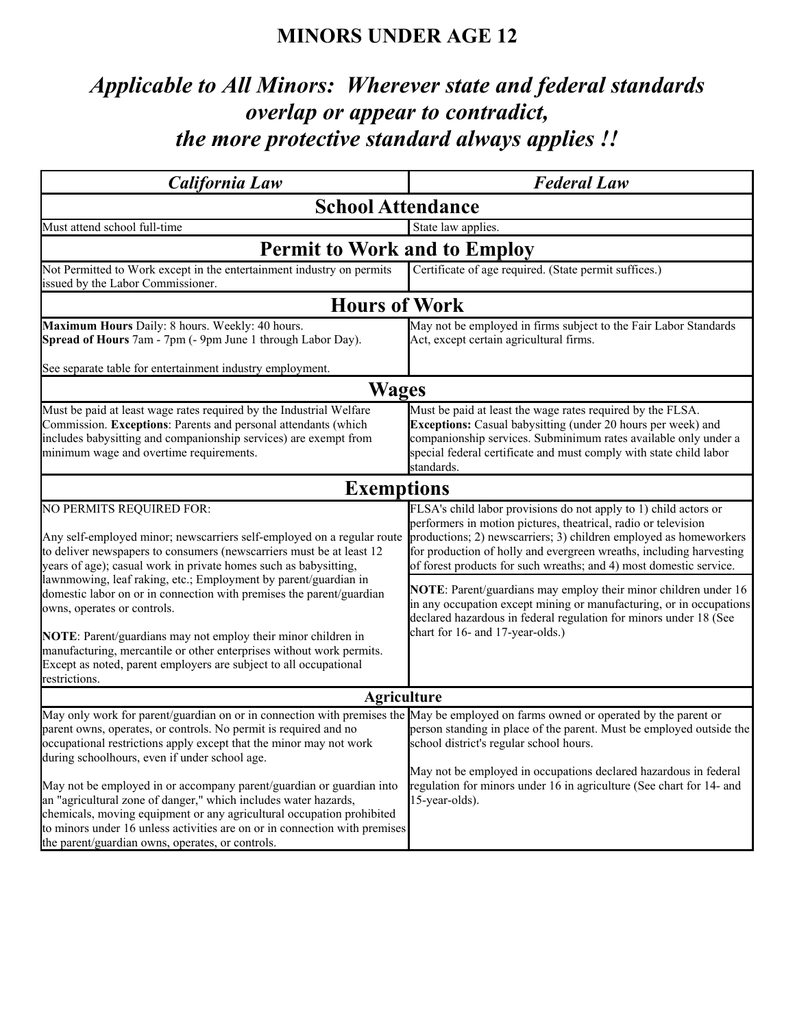## **MINORS UNDER AGE 12**

# *the more protective standard always applies !! Applicable to All Minors: Wherever state and federal standards overlap or appear to contradict,*

| California Law                                                                                                                                                                                                                                                                                                                                                                                                                                                                                                                                                                                                                                                                       | <b>Federal Law</b>                                                                                                                                                                                                                                                                                                                                                                                                                                                                                                                                                                                      |  |  |
|--------------------------------------------------------------------------------------------------------------------------------------------------------------------------------------------------------------------------------------------------------------------------------------------------------------------------------------------------------------------------------------------------------------------------------------------------------------------------------------------------------------------------------------------------------------------------------------------------------------------------------------------------------------------------------------|---------------------------------------------------------------------------------------------------------------------------------------------------------------------------------------------------------------------------------------------------------------------------------------------------------------------------------------------------------------------------------------------------------------------------------------------------------------------------------------------------------------------------------------------------------------------------------------------------------|--|--|
| <b>School Attendance</b>                                                                                                                                                                                                                                                                                                                                                                                                                                                                                                                                                                                                                                                             |                                                                                                                                                                                                                                                                                                                                                                                                                                                                                                                                                                                                         |  |  |
| Must attend school full-time                                                                                                                                                                                                                                                                                                                                                                                                                                                                                                                                                                                                                                                         | State law applies.                                                                                                                                                                                                                                                                                                                                                                                                                                                                                                                                                                                      |  |  |
| <b>Permit to Work and to Employ</b>                                                                                                                                                                                                                                                                                                                                                                                                                                                                                                                                                                                                                                                  |                                                                                                                                                                                                                                                                                                                                                                                                                                                                                                                                                                                                         |  |  |
| Not Permitted to Work except in the entertainment industry on permits<br>issued by the Labor Commissioner.                                                                                                                                                                                                                                                                                                                                                                                                                                                                                                                                                                           | Certificate of age required. (State permit suffices.)                                                                                                                                                                                                                                                                                                                                                                                                                                                                                                                                                   |  |  |
| <b>Hours of Work</b>                                                                                                                                                                                                                                                                                                                                                                                                                                                                                                                                                                                                                                                                 |                                                                                                                                                                                                                                                                                                                                                                                                                                                                                                                                                                                                         |  |  |
| Maximum Hours Daily: 8 hours. Weekly: 40 hours.<br>Spread of Hours 7am - 7pm (- 9pm June 1 through Labor Day).                                                                                                                                                                                                                                                                                                                                                                                                                                                                                                                                                                       | May not be employed in firms subject to the Fair Labor Standards<br>Act, except certain agricultural firms.                                                                                                                                                                                                                                                                                                                                                                                                                                                                                             |  |  |
| See separate table for entertainment industry employment.                                                                                                                                                                                                                                                                                                                                                                                                                                                                                                                                                                                                                            |                                                                                                                                                                                                                                                                                                                                                                                                                                                                                                                                                                                                         |  |  |
| <b>Wages</b>                                                                                                                                                                                                                                                                                                                                                                                                                                                                                                                                                                                                                                                                         |                                                                                                                                                                                                                                                                                                                                                                                                                                                                                                                                                                                                         |  |  |
| Must be paid at least wage rates required by the Industrial Welfare<br>Commission. Exceptions: Parents and personal attendants (which<br>includes babysitting and companionship services) are exempt from<br>minimum wage and overtime requirements.                                                                                                                                                                                                                                                                                                                                                                                                                                 | Must be paid at least the wage rates required by the FLSA.<br>Exceptions: Casual babysitting (under 20 hours per week) and<br>companionship services. Subminimum rates available only under a<br>special federal certificate and must comply with state child labor<br>standards.                                                                                                                                                                                                                                                                                                                       |  |  |
| <b>Exemptions</b>                                                                                                                                                                                                                                                                                                                                                                                                                                                                                                                                                                                                                                                                    |                                                                                                                                                                                                                                                                                                                                                                                                                                                                                                                                                                                                         |  |  |
| NO PERMITS REQUIRED FOR:<br>Any self-employed minor; newscarriers self-employed on a regular route<br>to deliver newspapers to consumers (newscarriers must be at least 12<br>years of age); casual work in private homes such as babysitting,<br>lawnmowing, leaf raking, etc.; Employment by parent/guardian in<br>domestic labor on or in connection with premises the parent/guardian<br>owns, operates or controls.<br>NOTE: Parent/guardians may not employ their minor children in<br>manufacturing, mercantile or other enterprises without work permits.<br>Except as noted, parent employers are subject to all occupational<br>restrictions.                              | FLSA's child labor provisions do not apply to 1) child actors or<br>performers in motion pictures, theatrical, radio or television<br>productions; 2) newscarriers; 3) children employed as homeworkers<br>for production of holly and evergreen wreaths, including harvesting<br>of forest products for such wreaths; and 4) most domestic service.<br>NOTE: Parent/guardians may employ their minor children under 16<br>in any occupation except mining or manufacturing, or in occupations<br>declared hazardous in federal regulation for minors under 18 (See<br>chart for 16- and 17-year-olds.) |  |  |
| <b>Agriculture</b>                                                                                                                                                                                                                                                                                                                                                                                                                                                                                                                                                                                                                                                                   |                                                                                                                                                                                                                                                                                                                                                                                                                                                                                                                                                                                                         |  |  |
| May only work for parent/guardian on or in connection with premises the May be employed on farms owned or operated by the parent or<br>parent owns, operates, or controls. No permit is required and no<br>occupational restrictions apply except that the minor may not work<br>during schoolhours, even if under school age.<br>May not be employed in or accompany parent/guardian or guardian into<br>an "agricultural zone of danger," which includes water hazards,<br>chemicals, moving equipment or any agricultural occupation prohibited<br>to minors under 16 unless activities are on or in connection with premises<br>the parent/guardian owns, operates, or controls. | person standing in place of the parent. Must be employed outside the<br>school district's regular school hours.<br>May not be employed in occupations declared hazardous in federal<br>regulation for minors under 16 in agriculture (See chart for 14- and<br>15-year-olds).                                                                                                                                                                                                                                                                                                                           |  |  |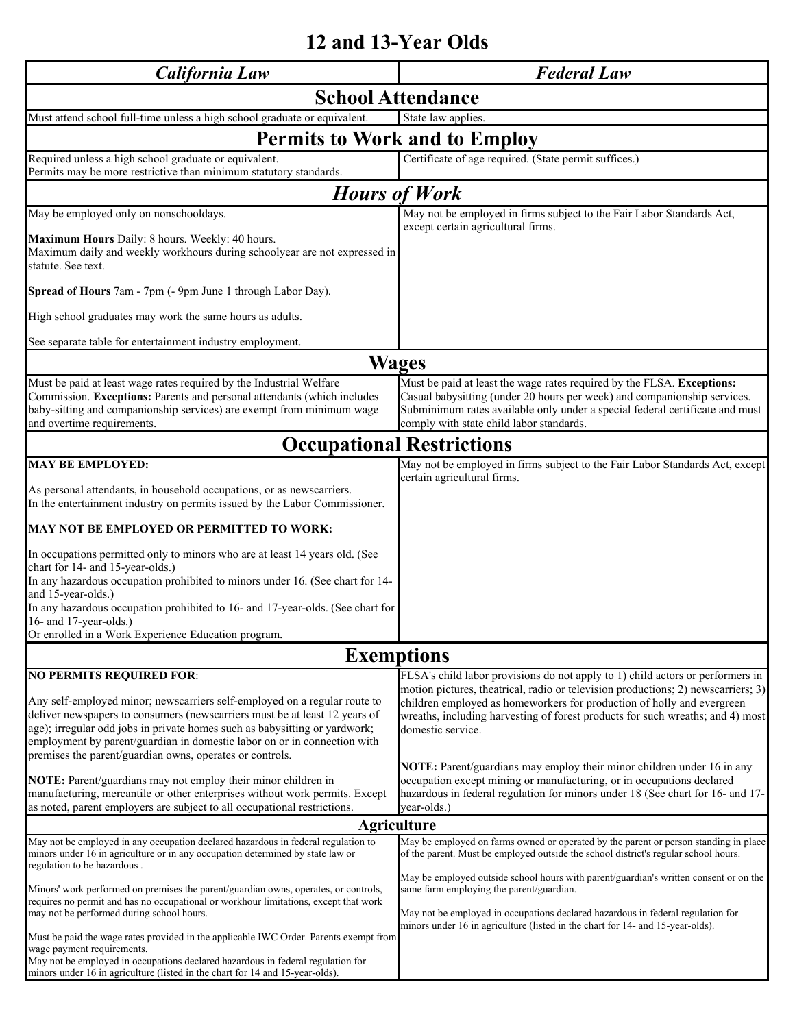# **12 and 13-Year Olds**

| California Law                                                                                                                                                                                                                                                                                                                                                                | <b>Federal Law</b>                                                                                                                                                                                                                                                                                     |  |  |
|-------------------------------------------------------------------------------------------------------------------------------------------------------------------------------------------------------------------------------------------------------------------------------------------------------------------------------------------------------------------------------|--------------------------------------------------------------------------------------------------------------------------------------------------------------------------------------------------------------------------------------------------------------------------------------------------------|--|--|
| <b>School Attendance</b>                                                                                                                                                                                                                                                                                                                                                      |                                                                                                                                                                                                                                                                                                        |  |  |
| Must attend school full-time unless a high school graduate or equivalent.                                                                                                                                                                                                                                                                                                     | State law applies.                                                                                                                                                                                                                                                                                     |  |  |
| <b>Permits to Work and to Employ</b>                                                                                                                                                                                                                                                                                                                                          |                                                                                                                                                                                                                                                                                                        |  |  |
| Required unless a high school graduate or equivalent.<br>Permits may be more restrictive than minimum statutory standards.                                                                                                                                                                                                                                                    | Certificate of age required. (State permit suffices.)                                                                                                                                                                                                                                                  |  |  |
| <b>Hours of Work</b>                                                                                                                                                                                                                                                                                                                                                          |                                                                                                                                                                                                                                                                                                        |  |  |
| May be employed only on nonschooldays.                                                                                                                                                                                                                                                                                                                                        | May not be employed in firms subject to the Fair Labor Standards Act,<br>except certain agricultural firms.                                                                                                                                                                                            |  |  |
| Maximum Hours Daily: 8 hours. Weekly: 40 hours.<br>Maximum daily and weekly workhours during schoolyear are not expressed in<br>statute. See text.                                                                                                                                                                                                                            |                                                                                                                                                                                                                                                                                                        |  |  |
| Spread of Hours 7am - 7pm (- 9pm June 1 through Labor Day).                                                                                                                                                                                                                                                                                                                   |                                                                                                                                                                                                                                                                                                        |  |  |
| High school graduates may work the same hours as adults.                                                                                                                                                                                                                                                                                                                      |                                                                                                                                                                                                                                                                                                        |  |  |
| See separate table for entertainment industry employment.                                                                                                                                                                                                                                                                                                                     |                                                                                                                                                                                                                                                                                                        |  |  |
| <b>Wages</b>                                                                                                                                                                                                                                                                                                                                                                  |                                                                                                                                                                                                                                                                                                        |  |  |
| Must be paid at least wage rates required by the Industrial Welfare<br>Commission. Exceptions: Parents and personal attendants (which includes<br>baby-sitting and companionship services) are exempt from minimum wage<br>and overtime requirements.                                                                                                                         | Must be paid at least the wage rates required by the FLSA. Exceptions:<br>Casual babysitting (under 20 hours per week) and companionship services.<br>Subminimum rates available only under a special federal certificate and must<br>comply with state child labor standards.                         |  |  |
| <b>Occupational Restrictions</b>                                                                                                                                                                                                                                                                                                                                              |                                                                                                                                                                                                                                                                                                        |  |  |
| <b>MAY BE EMPLOYED:</b>                                                                                                                                                                                                                                                                                                                                                       | May not be employed in firms subject to the Fair Labor Standards Act, except                                                                                                                                                                                                                           |  |  |
| As personal attendants, in household occupations, or as newscarriers.<br>In the entertainment industry on permits issued by the Labor Commissioner.                                                                                                                                                                                                                           | certain agricultural firms.                                                                                                                                                                                                                                                                            |  |  |
| MAY NOT BE EMPLOYED OR PERMITTED TO WORK:                                                                                                                                                                                                                                                                                                                                     |                                                                                                                                                                                                                                                                                                        |  |  |
| In occupations permitted only to minors who are at least 14 years old. (See<br>chart for 14- and 15-year-olds.)<br>In any hazardous occupation prohibited to minors under 16. (See chart for 14-<br>and 15-year-olds.)<br>In any hazardous occupation prohibited to 16- and 17-year-olds. (See chart for                                                                      |                                                                                                                                                                                                                                                                                                        |  |  |
| 16- and 17-year-olds.)<br>Or enrolled in a Work Experience Education program.                                                                                                                                                                                                                                                                                                 |                                                                                                                                                                                                                                                                                                        |  |  |
| <b>Exemptions</b>                                                                                                                                                                                                                                                                                                                                                             |                                                                                                                                                                                                                                                                                                        |  |  |
| <b>NO PERMITS REQUIRED FOR:</b>                                                                                                                                                                                                                                                                                                                                               | FLSA's child labor provisions do not apply to 1) child actors or performers in                                                                                                                                                                                                                         |  |  |
| Any self-employed minor; newscarriers self-employed on a regular route to<br>deliver newspapers to consumers (newscarriers must be at least 12 years of<br>age); irregular odd jobs in private homes such as babysitting or yardwork;<br>employment by parent/guardian in domestic labor on or in connection with<br>premises the parent/guardian owns, operates or controls. | motion pictures, theatrical, radio or television productions; 2) newscarriers; 3)<br>children employed as homeworkers for production of holly and evergreen<br>wreaths, including harvesting of forest products for such wreaths; and 4) most<br>domestic service.                                     |  |  |
| NOTE: Parent/guardians may not employ their minor children in<br>manufacturing, mercantile or other enterprises without work permits. Except<br>as noted, parent employers are subject to all occupational restrictions.                                                                                                                                                      | NOTE: Parent/guardians may employ their minor children under 16 in any<br>occupation except mining or manufacturing, or in occupations declared<br>hazardous in federal regulation for minors under 18 (See chart for 16- and 17-<br>year-olds.)                                                       |  |  |
| <b>Agriculture</b>                                                                                                                                                                                                                                                                                                                                                            |                                                                                                                                                                                                                                                                                                        |  |  |
| May not be employed in any occupation declared hazardous in federal regulation to<br>minors under 16 in agriculture or in any occupation determined by state law or<br>regulation to be hazardous.                                                                                                                                                                            | May be employed on farms owned or operated by the parent or person standing in place<br>of the parent. Must be employed outside the school district's regular school hours.                                                                                                                            |  |  |
| Minors' work performed on premises the parent/guardian owns, operates, or controls,<br>requires no permit and has no occupational or workhour limitations, except that work<br>may not be performed during school hours.                                                                                                                                                      | May be employed outside school hours with parent/guardian's written consent or on the<br>same farm employing the parent/guardian.<br>May not be employed in occupations declared hazardous in federal regulation for<br>minors under 16 in agriculture (listed in the chart for 14- and 15-year-olds). |  |  |
| Must be paid the wage rates provided in the applicable IWC Order. Parents exempt from<br>wage payment requirements.<br>May not be employed in occupations declared hazardous in federal regulation for<br>minors under 16 in agriculture (listed in the chart for 14 and 15-year-olds).                                                                                       |                                                                                                                                                                                                                                                                                                        |  |  |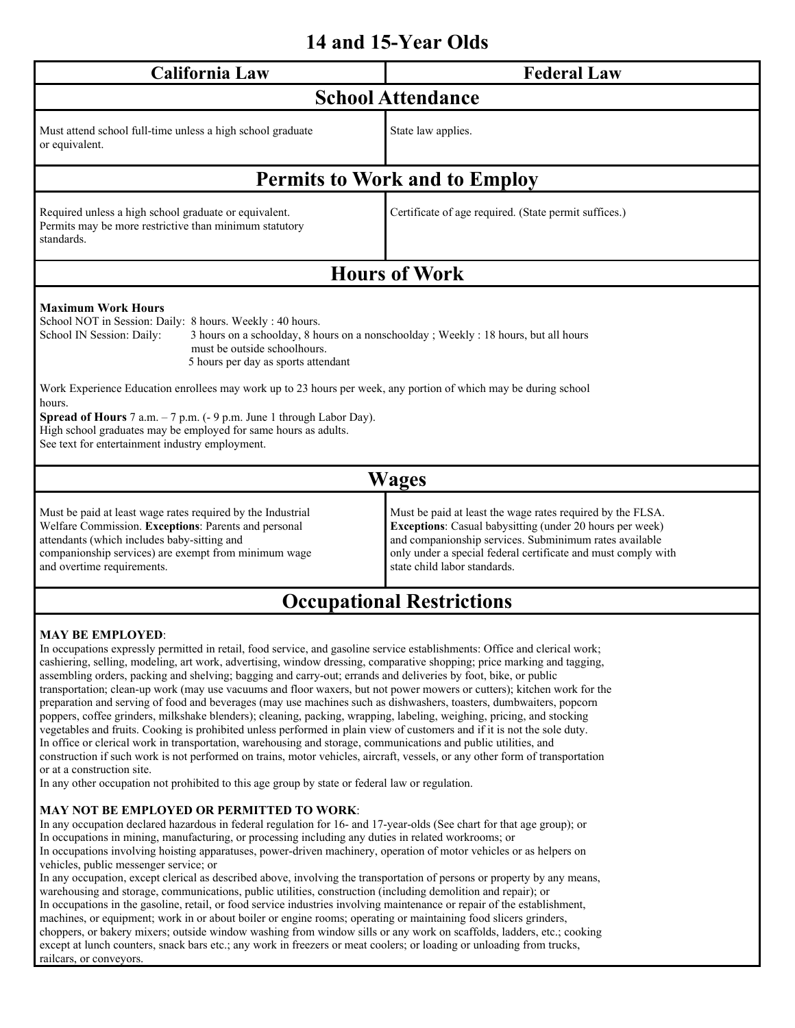## **14 and 15-Year Olds**

| <b>California Law</b>                                                                                                                                                                                                                                                                                                                                                                                                                                                                                                                                                                                                                                                | <b>Federal Law</b>                                                                                                                                                                                                                                                                       |  |  |
|----------------------------------------------------------------------------------------------------------------------------------------------------------------------------------------------------------------------------------------------------------------------------------------------------------------------------------------------------------------------------------------------------------------------------------------------------------------------------------------------------------------------------------------------------------------------------------------------------------------------------------------------------------------------|------------------------------------------------------------------------------------------------------------------------------------------------------------------------------------------------------------------------------------------------------------------------------------------|--|--|
| <b>School Attendance</b>                                                                                                                                                                                                                                                                                                                                                                                                                                                                                                                                                                                                                                             |                                                                                                                                                                                                                                                                                          |  |  |
| Must attend school full-time unless a high school graduate<br>or equivalent.                                                                                                                                                                                                                                                                                                                                                                                                                                                                                                                                                                                         | State law applies.                                                                                                                                                                                                                                                                       |  |  |
| <b>Permits to Work and to Employ</b>                                                                                                                                                                                                                                                                                                                                                                                                                                                                                                                                                                                                                                 |                                                                                                                                                                                                                                                                                          |  |  |
| Required unless a high school graduate or equivalent.<br>Permits may be more restrictive than minimum statutory<br>standards.                                                                                                                                                                                                                                                                                                                                                                                                                                                                                                                                        | Certificate of age required. (State permit suffices.)                                                                                                                                                                                                                                    |  |  |
|                                                                                                                                                                                                                                                                                                                                                                                                                                                                                                                                                                                                                                                                      | <b>Hours of Work</b>                                                                                                                                                                                                                                                                     |  |  |
| Maximum Work Hours<br>School NOT in Session: Daily: 8 hours. Weekly : 40 hours.<br>3 hours on a schoolday, 8 hours on a nonschoolday; Weekly: 18 hours, but all hours<br>School IN Session: Daily:<br>must be outside schoolhours.<br>5 hours per day as sports attendant<br>Work Experience Education enrollees may work up to 23 hours per week, any portion of which may be during school<br>hours.<br>Spread of Hours 7 a.m. - 7 p.m. (- 9 p.m. June 1 through Labor Day).<br>High school graduates may be employed for same hours as adults.<br>See text for entertainment industry employment.                                                                 |                                                                                                                                                                                                                                                                                          |  |  |
|                                                                                                                                                                                                                                                                                                                                                                                                                                                                                                                                                                                                                                                                      | <b>Wages</b>                                                                                                                                                                                                                                                                             |  |  |
| Must be paid at least wage rates required by the Industrial<br>Welfare Commission. Exceptions: Parents and personal<br>attendants (which includes baby-sitting and<br>companionship services) are exempt from minimum wage<br>and overtime requirements.                                                                                                                                                                                                                                                                                                                                                                                                             | Must be paid at least the wage rates required by the FLSA.<br><b>Exceptions:</b> Casual babysitting (under 20 hours per week)<br>and companionship services. Subminimum rates available<br>only under a special federal certificate and must comply with<br>state child labor standards. |  |  |
|                                                                                                                                                                                                                                                                                                                                                                                                                                                                                                                                                                                                                                                                      | <b>Occupational Restrictions</b>                                                                                                                                                                                                                                                         |  |  |
| <b>MAY BE EMPLOYED:</b><br>In occupations expressly permitted in retail, food service, and gasoline service establishments: Office and clerical work;<br>cashiering, selling, modeling, art work, advertising, window dressing, comparative shopping; price marking and tagging,<br>assembling orders, packing and shelving; bagging and carry-out; errands and deliveries by foot, bike, or public<br>$\mu$ , $\mu$ , $\mu$ , $\mu$ , $\mu$ , $\mu$ , $\mu$ , $\mu$ , $\mu$ , $\mu$ , $\mu$ , $\mu$ , $\mu$ , $\mu$ , $\mu$ , $\mu$ , $\mu$ , $\mu$ , $\mu$ , $\mu$ , $\mu$ , $\mu$ , $\mu$ , $\mu$ , $\mu$ , $\mu$ , $\mu$ , $\mu$ , $\mu$ , $\mu$ , $\mu$ , $\mu$ |                                                                                                                                                                                                                                                                                          |  |  |

 In office or clerical work in transportation, warehousing and storage, communications and public utilities, and construction if such work is not performed on trains, motor vehicles, aircraft, vessels, or any other form of transportation transportation; clean-up work (may use vacuums and floor waxers, but not power mowers or cutters); kitchen work for the preparation and serving of food and beverages (may use machines such as dishwashers, toasters, dumbwaiters, popcorn poppers, coffee grinders, milkshake blenders); cleaning, packing, wrapping, labeling, weighing, pricing, and stocking vegetables and fruits. Cooking is prohibited unless performed in plain view of customers and if it is not the sole duty. or at a construction site.

In any other occupation not prohibited to this age group by state or federal law or regulation.

#### **MAY NOT BE EMPLOYED OR PERMITTED TO WORK**:

In any occupation declared hazardous in federal regulation for 16- and 17-year-olds (See chart for that age group); or In occupations in mining, manufacturing, or processing including any duties in related workrooms; or In occupations involving hoisting apparatuses, power-driven machinery, operation of motor vehicles or as helpers on vehicles, public messenger service; or

 railcars, or conveyors. In any occupation, except clerical as described above, involving the transportation of persons or property by any means, warehousing and storage, communications, public utilities, construction (including demolition and repair); or In occupations in the gasoline, retail, or food service industries involving maintenance or repair of the establishment, machines, or equipment; work in or about boiler or engine rooms; operating or maintaining food slicers grinders, choppers, or bakery mixers; outside window washing from window sills or any work on scaffolds, ladders, etc.; cooking except at lunch counters, snack bars etc.; any work in freezers or meat coolers; or loading or unloading from trucks,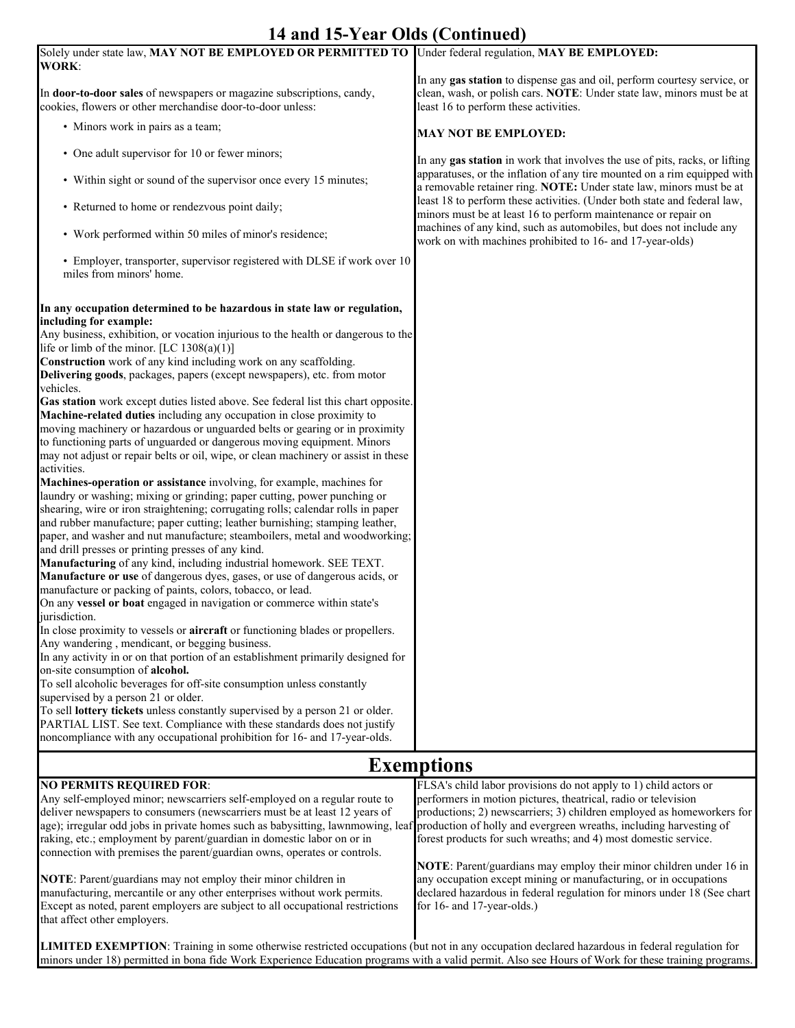## **14 and 15-Year Olds (Continued)**

| Solely under state law, MAY NOT BE EMPLOYED OR PERMITTED TO Under federal regulation, MAY BE EMPLOYED:<br><b>WORK:</b>                                                                                                                                                                                                                                                                                                                                                                                                                                                                                                                                                                                                                                                                                                                                                                                                                                                                                                                                                                                                                                                                                                                                                                                                                                                                                                                                                                                                                                                          |                                                                                                                                                                                                                                                                                                                                                                                                                                 |
|---------------------------------------------------------------------------------------------------------------------------------------------------------------------------------------------------------------------------------------------------------------------------------------------------------------------------------------------------------------------------------------------------------------------------------------------------------------------------------------------------------------------------------------------------------------------------------------------------------------------------------------------------------------------------------------------------------------------------------------------------------------------------------------------------------------------------------------------------------------------------------------------------------------------------------------------------------------------------------------------------------------------------------------------------------------------------------------------------------------------------------------------------------------------------------------------------------------------------------------------------------------------------------------------------------------------------------------------------------------------------------------------------------------------------------------------------------------------------------------------------------------------------------------------------------------------------------|---------------------------------------------------------------------------------------------------------------------------------------------------------------------------------------------------------------------------------------------------------------------------------------------------------------------------------------------------------------------------------------------------------------------------------|
| In door-to-door sales of newspapers or magazine subscriptions, candy,<br>cookies, flowers or other merchandise door-to-door unless:                                                                                                                                                                                                                                                                                                                                                                                                                                                                                                                                                                                                                                                                                                                                                                                                                                                                                                                                                                                                                                                                                                                                                                                                                                                                                                                                                                                                                                             | In any gas station to dispense gas and oil, perform courtesy service, or<br>clean, wash, or polish cars. NOTE: Under state law, minors must be at<br>least 16 to perform these activities.                                                                                                                                                                                                                                      |
| • Minors work in pairs as a team;                                                                                                                                                                                                                                                                                                                                                                                                                                                                                                                                                                                                                                                                                                                                                                                                                                                                                                                                                                                                                                                                                                                                                                                                                                                                                                                                                                                                                                                                                                                                               | <b>MAY NOT BE EMPLOYED:</b>                                                                                                                                                                                                                                                                                                                                                                                                     |
| • One adult supervisor for 10 or fewer minors;                                                                                                                                                                                                                                                                                                                                                                                                                                                                                                                                                                                                                                                                                                                                                                                                                                                                                                                                                                                                                                                                                                                                                                                                                                                                                                                                                                                                                                                                                                                                  | In any gas station in work that involves the use of pits, racks, or lifting                                                                                                                                                                                                                                                                                                                                                     |
| • Within sight or sound of the supervisor once every 15 minutes;                                                                                                                                                                                                                                                                                                                                                                                                                                                                                                                                                                                                                                                                                                                                                                                                                                                                                                                                                                                                                                                                                                                                                                                                                                                                                                                                                                                                                                                                                                                | apparatuses, or the inflation of any tire mounted on a rim equipped with<br>a removable retainer ring. NOTE: Under state law, minors must be at                                                                                                                                                                                                                                                                                 |
| • Returned to home or rendezvous point daily;                                                                                                                                                                                                                                                                                                                                                                                                                                                                                                                                                                                                                                                                                                                                                                                                                                                                                                                                                                                                                                                                                                                                                                                                                                                                                                                                                                                                                                                                                                                                   | least 18 to perform these activities. (Under both state and federal law,<br>minors must be at least 16 to perform maintenance or repair on                                                                                                                                                                                                                                                                                      |
| • Work performed within 50 miles of minor's residence;                                                                                                                                                                                                                                                                                                                                                                                                                                                                                                                                                                                                                                                                                                                                                                                                                                                                                                                                                                                                                                                                                                                                                                                                                                                                                                                                                                                                                                                                                                                          | machines of any kind, such as automobiles, but does not include any<br>work on with machines prohibited to 16- and 17-year-olds)                                                                                                                                                                                                                                                                                                |
| • Employer, transporter, supervisor registered with DLSE if work over 10<br>miles from minors' home.                                                                                                                                                                                                                                                                                                                                                                                                                                                                                                                                                                                                                                                                                                                                                                                                                                                                                                                                                                                                                                                                                                                                                                                                                                                                                                                                                                                                                                                                            |                                                                                                                                                                                                                                                                                                                                                                                                                                 |
| In any occupation determined to be hazardous in state law or regulation,<br>including for example:<br>Any business, exhibition, or vocation injurious to the health or dangerous to the<br>life or limb of the minor. [LC $1308(a)(1)$ ]<br>Construction work of any kind including work on any scaffolding.<br>Delivering goods, packages, papers (except newspapers), etc. from motor<br>vehicles.<br>Gas station work except duties listed above. See federal list this chart opposite.<br>Machine-related duties including any occupation in close proximity to<br>moving machinery or hazardous or unguarded belts or gearing or in proximity                                                                                                                                                                                                                                                                                                                                                                                                                                                                                                                                                                                                                                                                                                                                                                                                                                                                                                                              |                                                                                                                                                                                                                                                                                                                                                                                                                                 |
| to functioning parts of unguarded or dangerous moving equipment. Minors<br>may not adjust or repair belts or oil, wipe, or clean machinery or assist in these<br>activities.<br>Machines-operation or assistance involving, for example, machines for<br>laundry or washing; mixing or grinding; paper cutting, power punching or<br>shearing, wire or iron straightening; corrugating rolls; calendar rolls in paper<br>and rubber manufacture; paper cutting; leather burnishing; stamping leather,<br>paper, and washer and nut manufacture; steamboilers, metal and woodworking;<br>and drill presses or printing presses of any kind.<br>Manufacturing of any kind, including industrial homework. SEE TEXT.<br>Manufacture or use of dangerous dyes, gases, or use of dangerous acids, or<br>manufacture or packing of paints, colors, tobacco, or lead.<br>On any vessel or boat engaged in navigation or commerce within state's<br>jurisdiction.<br>In close proximity to vessels or aircraft or functioning blades or propellers.<br>Any wandering, mendicant, or begging business.<br>In any activity in or on that portion of an establishment primarily designed for<br>on-site consumption of alcohol.<br>To sell alcoholic beverages for off-site consumption unless constantly<br>supervised by a person 21 or older.<br>To sell lottery tickets unless constantly supervised by a person 21 or older.<br>PARTIAL LIST. See text. Compliance with these standards does not justify<br>noncompliance with any occupational prohibition for 16- and 17-year-olds. |                                                                                                                                                                                                                                                                                                                                                                                                                                 |
| <b>NO PERMITS REQUIRED FOR:</b>                                                                                                                                                                                                                                                                                                                                                                                                                                                                                                                                                                                                                                                                                                                                                                                                                                                                                                                                                                                                                                                                                                                                                                                                                                                                                                                                                                                                                                                                                                                                                 | <b>Exemptions</b><br>FLSA's child labor provisions do not apply to $1)$ child actors or                                                                                                                                                                                                                                                                                                                                         |
| Any self-employed minor; newscarriers self-employed on a regular route to<br>deliver newspapers to consumers (newscarriers must be at least 12 years of<br>age); irregular odd jobs in private homes such as babysitting, lawnmowing, leaf production of holly and evergreen wreaths, including harvesting of<br>raking, etc.; employment by parent/guardian in domestic labor on or in<br>connection with premises the parent/guardian owns, operates or controls.<br>NOTE: Parent/guardians may not employ their minor children in<br>manufacturing, mercantile or any other enterprises without work permits.                                                                                                                                                                                                                                                                                                                                                                                                                                                                                                                                                                                                                                                                                                                                                                                                                                                                                                                                                                | performers in motion pictures, theatrical, radio or television<br>productions; 2) newscarriers; 3) children employed as homeworkers for<br>forest products for such wreaths; and 4) most domestic service.<br>NOTE: Parent/guardians may employ their minor children under 16 in<br>any occupation except mining or manufacturing, or in occupations<br>declared hazardous in federal regulation for minors under 18 (See chart |
| Except as noted, parent employers are subject to all occupational restrictions<br>that affect other employers.                                                                                                                                                                                                                                                                                                                                                                                                                                                                                                                                                                                                                                                                                                                                                                                                                                                                                                                                                                                                                                                                                                                                                                                                                                                                                                                                                                                                                                                                  | for 16- and 17-year-olds.)                                                                                                                                                                                                                                                                                                                                                                                                      |

that affect other employers. manufacturing, mercantile or any other enterprises without work permits. Except as noted, parent employers are subject to all occupational restrictions

**LIMITED EXEMPTION**: Training in some otherwise restricted occupations (but not in any occupation declared hazardous in federal regulation for minors under 18) permitted in bona fide Work Experience Education programs with a valid permit. Also see Hours of Work for these training programs.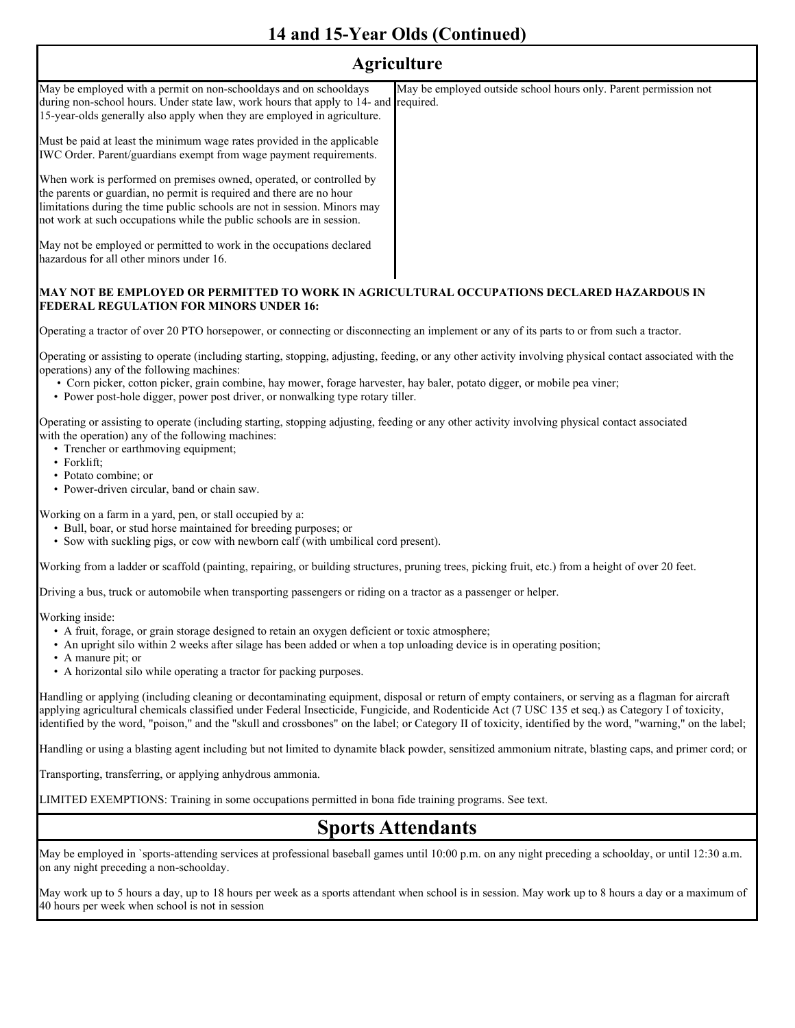### **14 and 15-Year Olds (Continued)**

| <b>Agriculture</b>                                                                                                                                                                                                                                                                                 |                                                                  |  |
|----------------------------------------------------------------------------------------------------------------------------------------------------------------------------------------------------------------------------------------------------------------------------------------------------|------------------------------------------------------------------|--|
| May be employed with a permit on non-schooldays and on schooldays<br>during non-school hours. Under state law, work hours that apply to 14- and required.<br>15-year-olds generally also apply when they are employed in agriculture.                                                              | May be employed outside school hours only. Parent permission not |  |
| Must be paid at least the minimum wage rates provided in the applicable<br>IWC Order. Parent/guardians exempt from wage payment requirements.                                                                                                                                                      |                                                                  |  |
| When work is performed on premises owned, operated, or controlled by<br>the parents or guardian, no permit is required and there are no hour<br>limitations during the time public schools are not in session. Minors may<br>not work at such occupations while the public schools are in session. |                                                                  |  |
| May not be employed or permitted to work in the occupations declared<br>hazardous for all other minors under 16.                                                                                                                                                                                   |                                                                  |  |
| IM AV NAT DE EMDI AVED<br>OD DEDMITTED TO WODK IN <i>AC</i>                                                                                                                                                                                                                                        | 'IANG BEAL ADEB HAZADBAHG INI                                    |  |

#### **FEDERAL REGULATION FOR MINORS UNDER 16: MAY NOT BE EMPLOYED OR PERMITTED TO WORK IN AGRICULTURAL OCCUPATIONS DECLARED HAZARDOUS IN**

Operating a tractor of over 20 PTO horsepower, or connecting or disconnecting an implement or any of its parts to or from such a tractor.

Operating or assisting to operate (including starting, stopping, adjusting, feeding, or any other activity involving physical contact associated with the operations) any of the following machines:

- Corn picker, cotton picker, grain combine, hay mower, forage harvester, hay baler, potato digger, or mobile pea viner;
- Power post-hole digger, power post driver, or nonwalking type rotary tiller.

 with the operation) any of the following machines: Operating or assisting to operate (including starting, stopping adjusting, feeding or any other activity involving physical contact associated

- Trencher or earthmoving equipment;
- Forklift;
- Potato combine; or
- Power-driven circular, band or chain saw.

Working on a farm in a yard, pen, or stall occupied by a:

- Bull, boar, or stud horse maintained for breeding purposes; or
- Sow with suckling pigs, or cow with newborn calf (with umbilical cord present).

Working from a ladder or scaffold (painting, repairing, or building structures, pruning trees, picking fruit, etc.) from a height of over 20 feet.

Driving a bus, truck or automobile when transporting passengers or riding on a tractor as a passenger or helper.

Working inside:

- A fruit, forage, or grain storage designed to retain an oxygen deficient or toxic atmosphere;
- An upright silo within 2 weeks after silage has been added or when a top unloading device is in operating position;
- A manure pit; or
- A horizontal silo while operating a tractor for packing purposes.

Handling or applying (including cleaning or decontaminating equipment, disposal or return of empty containers, or serving as a flagman for aircraft applying agricultural chemicals classified under Federal Insecticide, Fungicide, and Rodenticide Act (7 USC 135 et seq.) as Category I of toxicity, identified by the word, "poison," and the "skull and crossbones" on the label; or Category II of toxicity, identified by the word, "warning," on the label;

Handling or using a blasting agent including but not limited to dynamite black powder, sensitized ammonium nitrate, blasting caps, and primer cord; or

Transporting, transferring, or applying anhydrous ammonia.

LIMITED EXEMPTIONS: Training in some occupations permitted in bona fide training programs. See text.

## **Sports Attendants**

on any night preceding a non-schoolday. May be employed in `sports-attending services at professional baseball games until 10:00 p.m. on any night preceding a schoolday, or until 12:30 a.m.

May work up to 5 hours a day, up to 18 hours per week as a sports attendant when school is in session. May work up to 8 hours a day or a maximum of 40 hours per week when school is not in session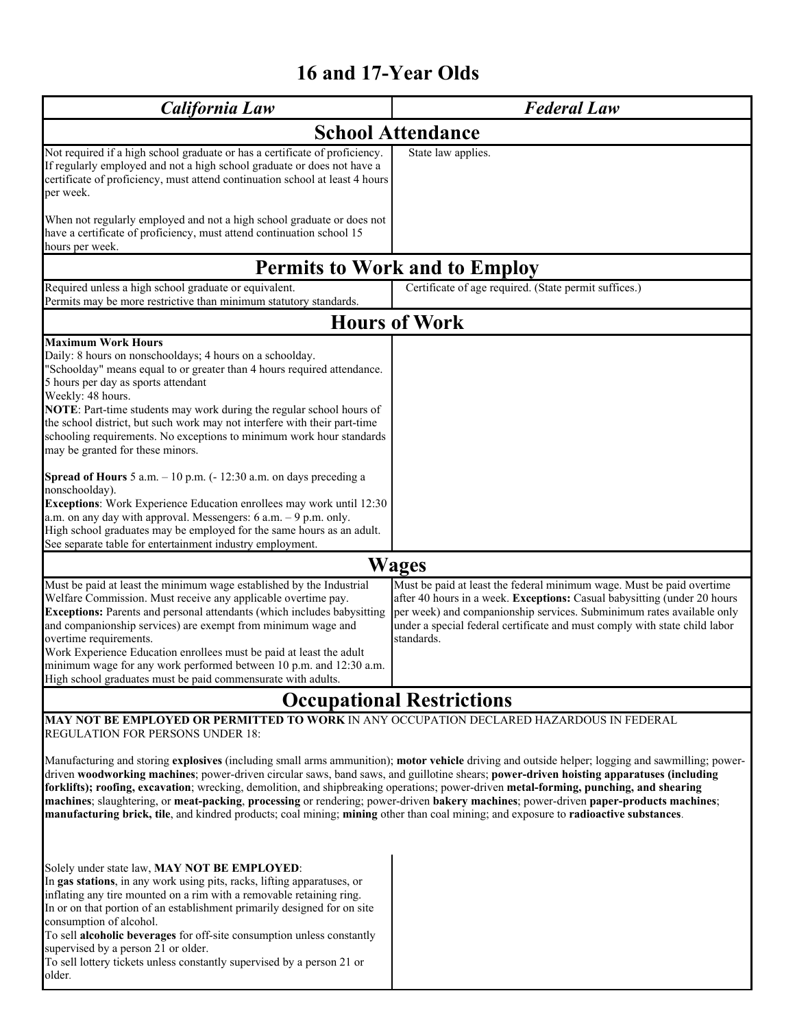# **16 and 17-Year Olds**

| California Law                                                                                                                                                                                                                                                                                                                                                                                                                                                                                                                                                     | <b>Federal Law</b>                                                                                                                                                                                                                                                                                                     |
|--------------------------------------------------------------------------------------------------------------------------------------------------------------------------------------------------------------------------------------------------------------------------------------------------------------------------------------------------------------------------------------------------------------------------------------------------------------------------------------------------------------------------------------------------------------------|------------------------------------------------------------------------------------------------------------------------------------------------------------------------------------------------------------------------------------------------------------------------------------------------------------------------|
|                                                                                                                                                                                                                                                                                                                                                                                                                                                                                                                                                                    | <b>School Attendance</b>                                                                                                                                                                                                                                                                                               |
| Not required if a high school graduate or has a certificate of proficiency.<br>If regularly employed and not a high school graduate or does not have a<br>certificate of proficiency, must attend continuation school at least 4 hours<br>per week.                                                                                                                                                                                                                                                                                                                | State law applies.                                                                                                                                                                                                                                                                                                     |
| When not regularly employed and not a high school graduate or does not<br>have a certificate of proficiency, must attend continuation school 15<br>hours per week.                                                                                                                                                                                                                                                                                                                                                                                                 |                                                                                                                                                                                                                                                                                                                        |
|                                                                                                                                                                                                                                                                                                                                                                                                                                                                                                                                                                    | <b>Permits to Work and to Employ</b>                                                                                                                                                                                                                                                                                   |
| Required unless a high school graduate or equivalent.<br>Permits may be more restrictive than minimum statutory standards.                                                                                                                                                                                                                                                                                                                                                                                                                                         | Certificate of age required. (State permit suffices.)                                                                                                                                                                                                                                                                  |
|                                                                                                                                                                                                                                                                                                                                                                                                                                                                                                                                                                    | <b>Hours of Work</b>                                                                                                                                                                                                                                                                                                   |
| <b>Maximum Work Hours</b><br>Daily: 8 hours on nonschooldays; 4 hours on a schoolday.<br>'Schoolday" means equal to or greater than 4 hours required attendance.<br>5 hours per day as sports attendant<br>Weekly: 48 hours.<br>NOTE: Part-time students may work during the regular school hours of<br>the school district, but such work may not interfere with their part-time<br>schooling requirements. No exceptions to minimum work hour standards<br>may be granted for these minors.                                                                      |                                                                                                                                                                                                                                                                                                                        |
| Spread of Hours $5$ a.m. $-10$ p.m. ( $-12:30$ a.m. on days preceding a<br>nonschoolday).<br>Exceptions: Work Experience Education enrollees may work until 12:30<br>a.m. on any day with approval. Messengers: 6 a.m. - 9 p.m. only.<br>High school graduates may be employed for the same hours as an adult.<br>See separate table for entertainment industry employment.                                                                                                                                                                                        |                                                                                                                                                                                                                                                                                                                        |
|                                                                                                                                                                                                                                                                                                                                                                                                                                                                                                                                                                    | <b>Wages</b>                                                                                                                                                                                                                                                                                                           |
| Must be paid at least the minimum wage established by the Industrial<br>Welfare Commission. Must receive any applicable overtime pay.<br>Exceptions: Parents and personal attendants (which includes babysitting<br>and companionship services) are exempt from minimum wage and<br>overtime requirements.<br>Work Experience Education enrollees must be paid at least the adult<br>minimum wage for any work performed between 10 p.m. and 12:30 a.m.<br>High school graduates must be paid commensurate with adults.                                            | Must be paid at least the federal minimum wage. Must be paid overtime<br>after 40 hours in a week. Exceptions: Casual babysitting (under 20 hours<br>per week) and companionship services. Subminimum rates available only<br>under a special federal certificate and must comply with state child labor<br>standards. |
|                                                                                                                                                                                                                                                                                                                                                                                                                                                                                                                                                                    | <b>Occupational Restrictions</b>                                                                                                                                                                                                                                                                                       |
| MAY NOT BE EMPLOYED OR PERMITTED TO WORK IN ANY OCCUPATION DECLARED HAZARDOUS IN FEDERAL<br>REGULATION FOR PERSONS UNDER 18:                                                                                                                                                                                                                                                                                                                                                                                                                                       |                                                                                                                                                                                                                                                                                                                        |
| driven woodworking machines; power-driven circular saws, band saws, and guillotine shears; power-driven hoisting apparatuses (including<br>forklifts); roofing, excavation; wrecking, demolition, and shipbreaking operations; power-driven metal-forming, punching, and shearing<br>machines; slaughtering, or meat-packing, processing or rendering; power-driven bakery machines; power-driven paper-products machines;<br>manufacturing brick, tile, and kindred products; coal mining; mining other than coal mining; and exposure to radioactive substances. | Manufacturing and storing explosives (including small arms ammunition); motor vehicle driving and outside helper; logging and sawmilling; power-                                                                                                                                                                       |
| Solely under state law, MAY NOT BE EMPLOYED:<br>In gas stations, in any work using pits, racks, lifting apparatuses, or<br>inflating any tire mounted on a rim with a removable retaining ring.<br>In or on that portion of an establishment primarily designed for on site<br>consumption of alcohol.<br>To sell elected poverage for off site consumption unless constantly                                                                                                                                                                                      |                                                                                                                                                                                                                                                                                                                        |

To sell **alcoholic beverages** for off-site consumption unless constantly supervised by a person 21 or older.

To sell lottery tickets unless constantly supervised by a person 21 or older.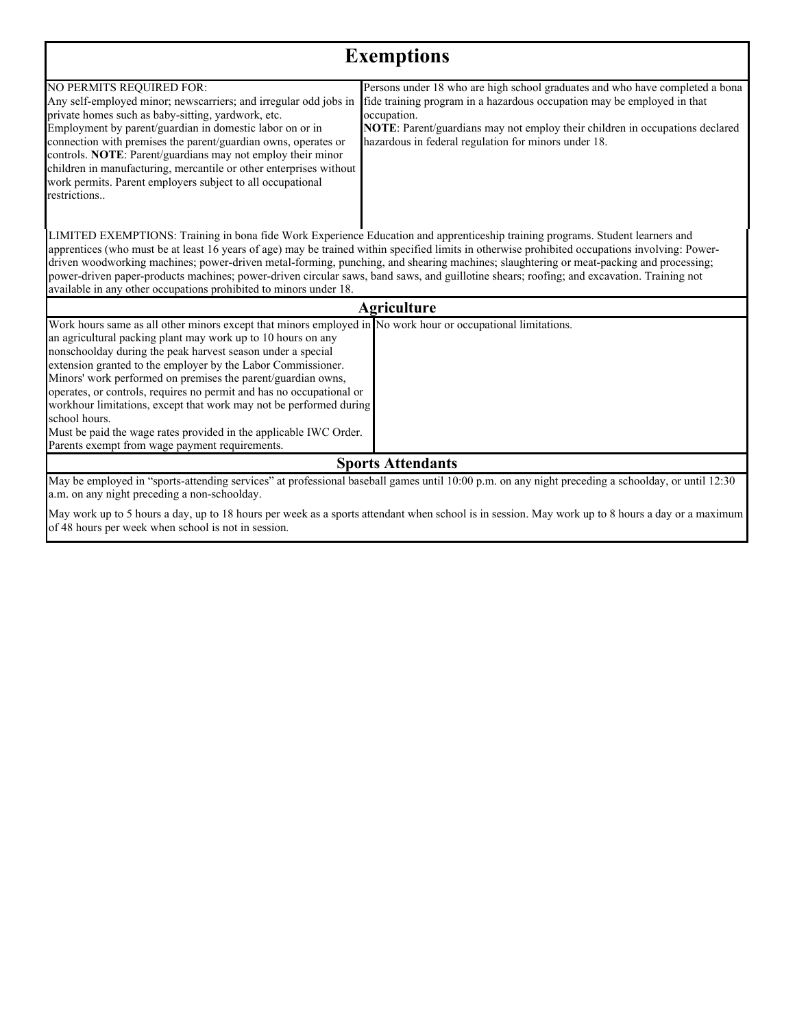# **Exemptions**

| NO PERMITS REQUIRED FOR:<br>Any self-employed minor; newscarriers; and irregular odd jobs in<br>private homes such as baby-sitting, yardwork, etc.<br>Employment by parent/guardian in domestic labor on or in<br>connection with premises the parent/guardian owns, operates or<br>controls. NOTE: Parent/guardians may not employ their minor<br>children in manufacturing, mercantile or other enterprises without<br>work permits. Parent employers subject to all occupational<br>restrictions                                                                                                                                                               | Persons under 18 who are high school graduates and who have completed a bona<br>fide training program in a hazardous occupation may be employed in that<br>occupation.<br>NOTE: Parent/guardians may not employ their children in occupations declared<br>hazardous in federal regulation for minors under 18. |  |  |
|-------------------------------------------------------------------------------------------------------------------------------------------------------------------------------------------------------------------------------------------------------------------------------------------------------------------------------------------------------------------------------------------------------------------------------------------------------------------------------------------------------------------------------------------------------------------------------------------------------------------------------------------------------------------|----------------------------------------------------------------------------------------------------------------------------------------------------------------------------------------------------------------------------------------------------------------------------------------------------------------|--|--|
| LIMITED EXEMPTIONS: Training in bona fide Work Experience Education and apprenticeship training programs. Student learners and<br>apprentices (who must be at least 16 years of age) may be trained within specified limits in otherwise prohibited occupations involving: Power-<br>driven woodworking machines; power-driven metal-forming, punching, and shearing machines; slaughtering or meat-packing and processing;<br>power-driven paper-products machines; power-driven circular saws, band saws, and guillotine shears; roofing; and excavation. Training not<br>available in any other occupations prohibited to minors under 18.                     |                                                                                                                                                                                                                                                                                                                |  |  |
| <b>Agriculture</b>                                                                                                                                                                                                                                                                                                                                                                                                                                                                                                                                                                                                                                                |                                                                                                                                                                                                                                                                                                                |  |  |
| Work hours same as all other minors except that minors employed in No work hour or occupational limitations.<br>an agricultural packing plant may work up to 10 hours on any<br>nonschoolday during the peak harvest season under a special<br>extension granted to the employer by the Labor Commissioner.<br>Minors' work performed on premises the parent/guardian owns,<br>operates, or controls, requires no permit and has no occupational or<br>workhour limitations, except that work may not be performed during<br>school hours.<br>Must be paid the wage rates provided in the applicable IWC Order.<br>Parents exempt from wage payment requirements. |                                                                                                                                                                                                                                                                                                                |  |  |
| <b>Sports Attendants</b>                                                                                                                                                                                                                                                                                                                                                                                                                                                                                                                                                                                                                                          |                                                                                                                                                                                                                                                                                                                |  |  |
| May be employed in "sports-attending services" at professional baseball games until 10:00 p.m. on any night preceding a schoolday, or until 12:30<br>a.m. on any night preceding a non-schoolday.                                                                                                                                                                                                                                                                                                                                                                                                                                                                 |                                                                                                                                                                                                                                                                                                                |  |  |

May work up to 5 hours a day, up to 18 hours per week as a sports attendant when school is in session. May work up to 8 hours a day or a maximum of 48 hours per week when school is not in session.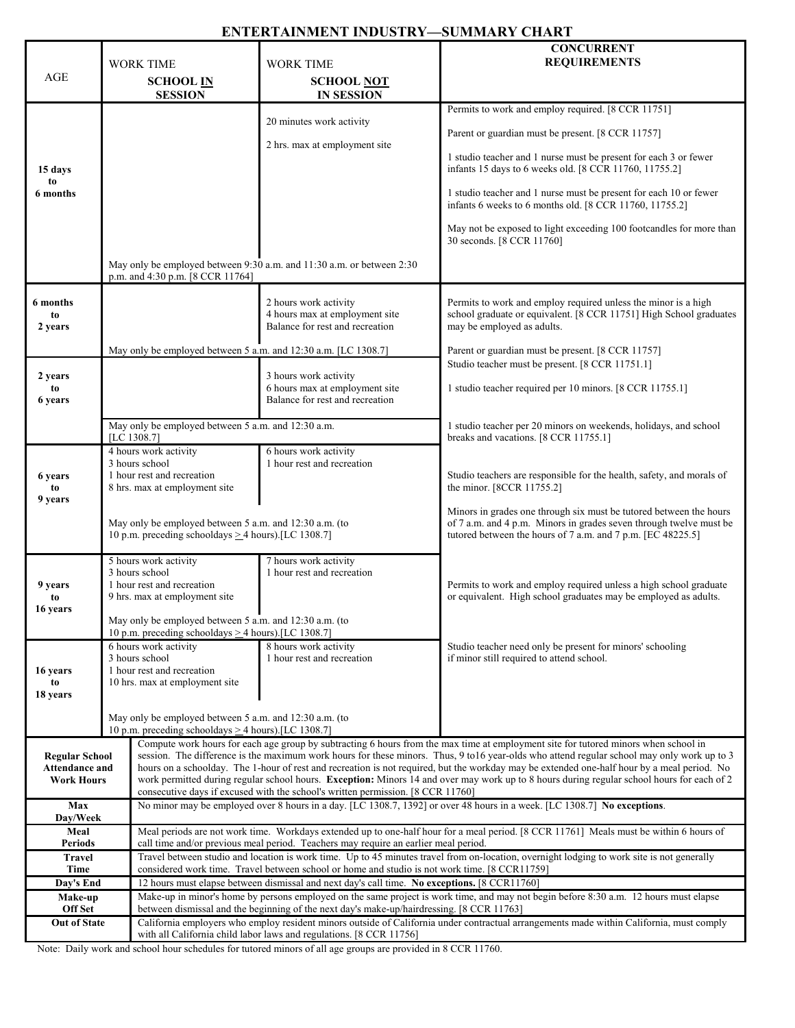### **ENTERTAINMENT INDUSTRY—SUMMARY CHART**

|                                                                                                                                                                                                                                                                                                                                              |                                                                                                                                                                                                       |                                                                |                                                                                            | <b>CONCURRENT</b>                                                                                                                                                  |
|----------------------------------------------------------------------------------------------------------------------------------------------------------------------------------------------------------------------------------------------------------------------------------------------------------------------------------------------|-------------------------------------------------------------------------------------------------------------------------------------------------------------------------------------------------------|----------------------------------------------------------------|--------------------------------------------------------------------------------------------|--------------------------------------------------------------------------------------------------------------------------------------------------------------------|
|                                                                                                                                                                                                                                                                                                                                              |                                                                                                                                                                                                       | <b>WORK TIME</b>                                               | <b>WORK TIME</b>                                                                           | <b>REQUIREMENTS</b>                                                                                                                                                |
| AGE                                                                                                                                                                                                                                                                                                                                          |                                                                                                                                                                                                       | <b>SCHOOL IN</b>                                               | <b>SCHOOL NOT</b>                                                                          |                                                                                                                                                                    |
|                                                                                                                                                                                                                                                                                                                                              |                                                                                                                                                                                                       | <b>SESSION</b>                                                 | <b>IN SESSION</b>                                                                          |                                                                                                                                                                    |
|                                                                                                                                                                                                                                                                                                                                              |                                                                                                                                                                                                       |                                                                |                                                                                            | Permits to work and employ required. [8 CCR 11751]                                                                                                                 |
|                                                                                                                                                                                                                                                                                                                                              |                                                                                                                                                                                                       |                                                                | 20 minutes work activity                                                                   | Parent or guardian must be present. [8 CCR 11757]                                                                                                                  |
| 15 days                                                                                                                                                                                                                                                                                                                                      |                                                                                                                                                                                                       |                                                                | 2 hrs. max at employment site                                                              | 1 studio teacher and 1 nurse must be present for each 3 or fewer<br>infants 15 days to 6 weeks old. [8 CCR 11760, 11755.2]                                         |
| to                                                                                                                                                                                                                                                                                                                                           |                                                                                                                                                                                                       |                                                                |                                                                                            |                                                                                                                                                                    |
| 6 months                                                                                                                                                                                                                                                                                                                                     |                                                                                                                                                                                                       |                                                                |                                                                                            | 1 studio teacher and 1 nurse must be present for each 10 or fewer<br>infants 6 weeks to 6 months old. [8 CCR 11760, 11755.2]                                       |
|                                                                                                                                                                                                                                                                                                                                              |                                                                                                                                                                                                       |                                                                |                                                                                            | May not be exposed to light exceeding 100 footcandles for more than<br>30 seconds. [8 CCR 11760]                                                                   |
|                                                                                                                                                                                                                                                                                                                                              | May only be employed between 9:30 a.m. and 11:30 a.m. or between 2:30<br>p.m. and 4:30 p.m. [8 CCR 11764]                                                                                             |                                                                |                                                                                            |                                                                                                                                                                    |
|                                                                                                                                                                                                                                                                                                                                              |                                                                                                                                                                                                       |                                                                |                                                                                            |                                                                                                                                                                    |
| 6 months<br>to<br>2 years                                                                                                                                                                                                                                                                                                                    |                                                                                                                                                                                                       |                                                                | 2 hours work activity<br>4 hours max at employment site<br>Balance for rest and recreation | Permits to work and employ required unless the minor is a high<br>school graduate or equivalent. [8 CCR 11751] High School graduates<br>may be employed as adults. |
|                                                                                                                                                                                                                                                                                                                                              |                                                                                                                                                                                                       | May only be employed between 5 a.m. and 12:30 a.m. [LC 1308.7] |                                                                                            | Parent or guardian must be present. [8 CCR 11757]                                                                                                                  |
| 2 years                                                                                                                                                                                                                                                                                                                                      |                                                                                                                                                                                                       |                                                                | 3 hours work activity                                                                      | Studio teacher must be present. [8 CCR 11751.1]                                                                                                                    |
| to<br>6 years                                                                                                                                                                                                                                                                                                                                |                                                                                                                                                                                                       |                                                                | 6 hours max at employment site<br>Balance for rest and recreation                          | 1 studio teacher required per 10 minors. [8 CCR 11755.1]                                                                                                           |
|                                                                                                                                                                                                                                                                                                                                              | May only be employed between 5 a.m. and 12:30 a.m.<br>[LC 1308.7]                                                                                                                                     |                                                                |                                                                                            | 1 studio teacher per 20 minors on weekends, holidays, and school<br>breaks and vacations. [8 CCR 11755.1]                                                          |
|                                                                                                                                                                                                                                                                                                                                              |                                                                                                                                                                                                       | 4 hours work activity                                          | 6 hours work activity                                                                      |                                                                                                                                                                    |
| 6 years                                                                                                                                                                                                                                                                                                                                      |                                                                                                                                                                                                       | 3 hours school<br>1 hour rest and recreation                   | 1 hour rest and recreation                                                                 | Studio teachers are responsible for the health, safety, and morals of                                                                                              |
| to                                                                                                                                                                                                                                                                                                                                           |                                                                                                                                                                                                       | 8 hrs. max at employment site                                  |                                                                                            | the minor. [8CCR 11755.2]                                                                                                                                          |
| 9 years                                                                                                                                                                                                                                                                                                                                      | May only be employed between 5 a.m. and 12:30 a.m. (to                                                                                                                                                |                                                                |                                                                                            |                                                                                                                                                                    |
|                                                                                                                                                                                                                                                                                                                                              |                                                                                                                                                                                                       |                                                                |                                                                                            | Minors in grades one through six must be tutored between the hours<br>of 7 a.m. and 4 p.m. Minors in grades seven through twelve must be                           |
|                                                                                                                                                                                                                                                                                                                                              |                                                                                                                                                                                                       | 10 p.m. preceding schooldays $\geq$ 4 hours).[LC 1308.7]       |                                                                                            | tutored between the hours of 7 a.m. and 7 p.m. [EC 48225.5]                                                                                                        |
|                                                                                                                                                                                                                                                                                                                                              |                                                                                                                                                                                                       |                                                                |                                                                                            |                                                                                                                                                                    |
|                                                                                                                                                                                                                                                                                                                                              |                                                                                                                                                                                                       | 5 hours work activity<br>3 hours school                        | 7 hours work activity<br>1 hour rest and recreation                                        |                                                                                                                                                                    |
| 9 years                                                                                                                                                                                                                                                                                                                                      |                                                                                                                                                                                                       | 1 hour rest and recreation                                     |                                                                                            | Permits to work and employ required unless a high school graduate                                                                                                  |
| to                                                                                                                                                                                                                                                                                                                                           |                                                                                                                                                                                                       | 9 hrs. max at employment site                                  |                                                                                            | or equivalent. High school graduates may be employed as adults.                                                                                                    |
| 16 years                                                                                                                                                                                                                                                                                                                                     |                                                                                                                                                                                                       | May only be employed between 5 a.m. and 12:30 a.m. (to         |                                                                                            |                                                                                                                                                                    |
|                                                                                                                                                                                                                                                                                                                                              |                                                                                                                                                                                                       | 10 p.m. preceding schooldays $\geq$ 4 hours). [LC 1308.7]      |                                                                                            |                                                                                                                                                                    |
|                                                                                                                                                                                                                                                                                                                                              |                                                                                                                                                                                                       | 6 hours work activity                                          | 8 hours work activity                                                                      | Studio teacher need only be present for minors' schooling                                                                                                          |
| 16 years                                                                                                                                                                                                                                                                                                                                     |                                                                                                                                                                                                       | 3 hours school<br>1 hour rest and recreation                   | 1 hour rest and recreation                                                                 | if minor still required to attend school.                                                                                                                          |
| to                                                                                                                                                                                                                                                                                                                                           |                                                                                                                                                                                                       | 10 hrs. max at employment site                                 |                                                                                            |                                                                                                                                                                    |
| 18 years                                                                                                                                                                                                                                                                                                                                     |                                                                                                                                                                                                       |                                                                |                                                                                            |                                                                                                                                                                    |
|                                                                                                                                                                                                                                                                                                                                              | May only be employed between 5 a.m. and 12:30 a.m. (to                                                                                                                                                |                                                                |                                                                                            |                                                                                                                                                                    |
|                                                                                                                                                                                                                                                                                                                                              | 10 p.m. preceding schooldays $\geq$ 4 hours). [LC 1308.7]                                                                                                                                             |                                                                |                                                                                            |                                                                                                                                                                    |
| Compute work hours for each age group by subtracting 6 hours from the max time at employment site for tutored minors when school in                                                                                                                                                                                                          |                                                                                                                                                                                                       |                                                                |                                                                                            |                                                                                                                                                                    |
| <b>Regular School</b><br>session. The difference is the maximum work hours for these minors. Thus, 9 to 16 year-olds who attend regular school may only work up to 3<br>hours on a schoolday. The 1-hour of rest and recreation is not required, but the workday may be extended one-half hour by a meal period. No<br><b>Attendance and</b> |                                                                                                                                                                                                       |                                                                |                                                                                            |                                                                                                                                                                    |
|                                                                                                                                                                                                                                                                                                                                              | work permitted during regular school hours. Exception: Minors 14 and over may work up to 8 hours during regular school hours for each of 2<br><b>Work Hours</b>                                       |                                                                |                                                                                            |                                                                                                                                                                    |
| consecutive days if excused with the school's written permission. [8 CCR 11760]                                                                                                                                                                                                                                                              |                                                                                                                                                                                                       |                                                                |                                                                                            |                                                                                                                                                                    |
| Day/Week                                                                                                                                                                                                                                                                                                                                     | No minor may be employed over 8 hours in a day. [LC 1308.7, 1392] or over 48 hours in a week. [LC 1308.7] No exceptions.<br>Max                                                                       |                                                                |                                                                                            |                                                                                                                                                                    |
| Meal periods are not work time. Workdays extended up to one-half hour for a meal period. [8 CCR 11761] Meals must be within 6 hours of<br>Meal                                                                                                                                                                                               |                                                                                                                                                                                                       |                                                                |                                                                                            |                                                                                                                                                                    |
| call time and/or previous meal period. Teachers may require an earlier meal period.<br>Periods                                                                                                                                                                                                                                               |                                                                                                                                                                                                       |                                                                |                                                                                            |                                                                                                                                                                    |
| Travel between studio and location is work time. Up to 45 minutes travel from on-location, overnight lodging to work site is not generally<br><b>Travel</b>                                                                                                                                                                                  |                                                                                                                                                                                                       |                                                                |                                                                                            |                                                                                                                                                                    |
| Day's End                                                                                                                                                                                                                                                                                                                                    | Time<br>considered work time. Travel between school or home and studio is not work time. [8 CCR11759]<br>12 hours must elapse between dismissal and next day's call time. No exceptions. [8 CCR11760] |                                                                |                                                                                            |                                                                                                                                                                    |
| Make-up in minor's home by persons employed on the same project is work time, and may not begin before 8:30 a.m. 12 hours must elapse<br>Make-up                                                                                                                                                                                             |                                                                                                                                                                                                       |                                                                |                                                                                            |                                                                                                                                                                    |
| Off Set                                                                                                                                                                                                                                                                                                                                      |                                                                                                                                                                                                       |                                                                | between dismissal and the beginning of the next day's make-up/hairdressing. [8 CCR 11763]  |                                                                                                                                                                    |
| California employers who employ resident minors outside of California under contractual arrangements made within California, must comply<br><b>Out of State</b>                                                                                                                                                                              |                                                                                                                                                                                                       |                                                                |                                                                                            |                                                                                                                                                                    |
| with all California child labor laws and regulations. [8 CCR 11756]                                                                                                                                                                                                                                                                          |                                                                                                                                                                                                       |                                                                |                                                                                            |                                                                                                                                                                    |

Note: Daily work and school hour schedules for tutored minors of all age groups are provided in 8 CCR 11760.